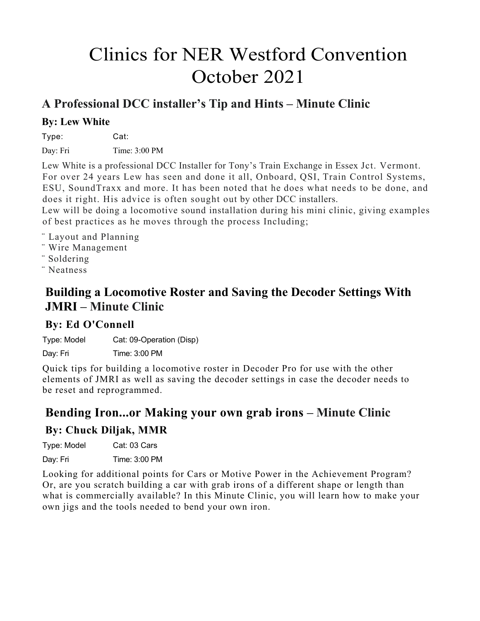# Clinics for NER Westford Convention October 2021

### **A Professional DCC installer's Tip and Hints – Minute Clinic**

#### **By: Lew White**

Type: Cat: Day: Fri Time: 3:00 PM

Lew White is a professional DCC Installer for Tony's Train Exchange in Essex Jct. Vermont. For over 24 years Lew has seen and done it all, Onboard, QSI, Train Control Systems, ESU, SoundTraxx and more. It has been noted that he does what needs to be done, and does it right. His advice is often sought out by other DCC installers.

Lew will be doing a locomotive sound installation during his mini clinic, giving examples of best practices as he moves through the process Including;

- ¨ Layout and Planning
- ¨ Wire Management
- ¨ Soldering
- ¨ Neatness

### **Building a Locomotive Roster and Saving the Decoder Settings With JMRI – Minute Clinic**

#### **By: Ed O'Connell**

Type: Model Cat: 09-Operation (Disp)

Day: Fri Time: 3:00 PM

Quick tips for building a locomotive roster in Decoder Pro for use with the other elements of JMRI as well as saving the decoder settings in case the decoder needs to be reset and reprogrammed.

### **Bending Iron...or Making your own grab irons – Minute Clinic**

#### **By: Chuck Diljak, MMR**

Type: Model Cat: 03 Cars Day: Fri Time: 3:00 PM

Looking for additional points for Cars or Motive Power in the Achievement Program? Or, are you scratch building a car with grab irons of a different shape or length than what is commercially available? In this Minute Clinic, you will learn how to make your own jigs and the tools needed to bend your own iron.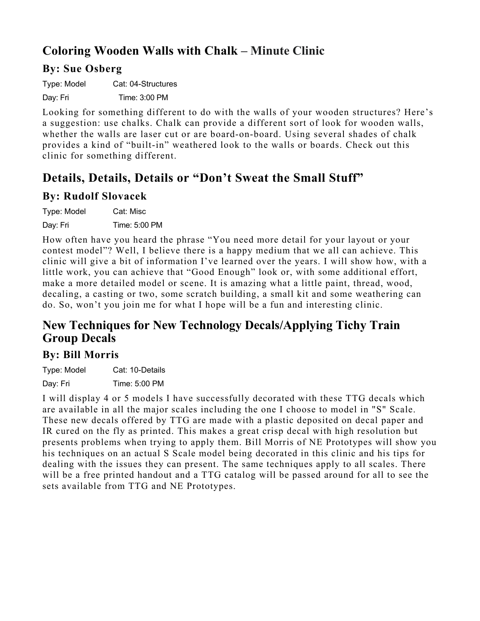# **Coloring Wooden Walls with Chalk – Minute Clinic**

#### **By: Sue Osberg**

Type: Model Cat: 04-Structures

Day: Fri Time: 3:00 PM

Looking for something different to do with the walls of your wooden structures? Here's a suggestion: use chalks. Chalk can provide a different sort of look for wooden walls, whether the walls are laser cut or are board-on-board. Using several shades of chalk provides a kind of "built-in" weathered look to the walls or boards. Check out this clinic for something different.

# **Details, Details, Details or "Don't Sweat the Small Stuff"**

#### **By: Rudolf Slovacek**

| Type: Model | Cat: Misc     |
|-------------|---------------|
| Day: Fri    | Time: 5:00 PM |

How often have you heard the phrase "You need more detail for your layout or your contest model"? Well, I believe there is a happy medium that we all can achieve. This clinic will give a bit of information I've learned over the years. I will show how, with a little work, you can achieve that "Good Enough" look or, with some additional effort, make a more detailed model or scene. It is amazing what a little paint, thread, wood, decaling, a casting or two, some scratch building, a small kit and some weathering can do. So, won't you join me for what I hope will be a fun and interesting clinic.

### **New Techniques for New Technology Decals/Applying Tichy Train Group Decals**

#### **By: Bill Morris**

Type: Model Cat: 10-Details Day: Fri Time: 5:00 PM

I will display 4 or 5 models I have successfully decorated with these TTG decals which are available in all the major scales including the one I choose to model in "S" Scale. These new decals offered by TTG are made with a plastic deposited on decal paper and IR cured on the fly as printed. This makes a great crisp decal with high resolution but presents problems when trying to apply them. Bill Morris of NE Prototypes will show you his techniques on an actual S Scale model being decorated in this clinic and his tips for dealing with the issues they can present. The same techniques apply to all scales. There will be a free printed handout and a TTG catalog will be passed around for all to see the sets available from TTG and NE Prototypes.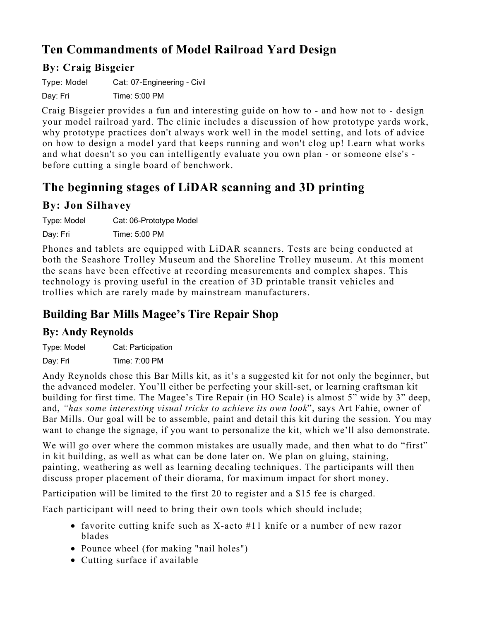# **Ten Commandments of Model Railroad Yard Design**

#### **By: Craig Bisgeier**

Type: Model Cat: 07-Engineering - Civil Day: Fri Time: 5:00 PM

Craig Bisgeier provides a fun and interesting guide on how to - and how not to - design your model railroad yard. The clinic includes a discussion of how prototype yards work, why prototype practices don't always work well in the model setting, and lots of advice on how to design a model yard that keeps running and won't clog up! Learn what works and what doesn't so you can intelligently evaluate you own plan - or someone else's before cutting a single board of benchwork.

# **The beginning stages of LiDAR scanning and 3D printing**

#### **By: Jon Silhavey**

Type: Model Cat: 06-Prototype Model

Day: Fri Time: 5:00 PM

Phones and tablets are equipped with LiDAR scanners. Tests are being conducted at both the Seashore Trolley Museum and the Shoreline Trolley museum. At this moment the scans have been effective at recording measurements and complex shapes. This technology is proving useful in the creation of 3D printable transit vehicles and trollies which are rarely made by mainstream manufacturers.

# **Building Bar Mills Magee's Tire Repair Shop**

#### **By: Andy Reynolds**

Type: Model Cat: Participation

Day: Fri Time: 7:00 PM

Andy Reynolds chose this Bar Mills kit, as it's a suggested kit for not only the beginner, but the advanced modeler. You'll either be perfecting your skill-set, or learning craftsman kit building for first time. The Magee's Tire Repair (in HO Scale) is almost 5" wide by 3" deep, and, *"has some interesting visual tricks to achieve its own look*", says Art Fahie, owner of Bar Mills. Our goal will be to assemble, paint and detail this kit during the session. You may want to change the signage, if you want to personalize the kit, which we'll also demonstrate.

We will go over where the common mistakes are usually made, and then what to do "first" in kit building, as well as what can be done later on. We plan on gluing, staining, painting, weathering as well as learning decaling techniques. The participants will then discuss proper placement of their diorama, for maximum impact for short money.

Participation will be limited to the first 20 to register and a \$15 fee is charged.

Each participant will need to bring their own tools which should include;

- favorite cutting knife such as X-acto #11 knife or a number of new razor blades
- Pounce wheel (for making "nail holes")
- Cutting surface if available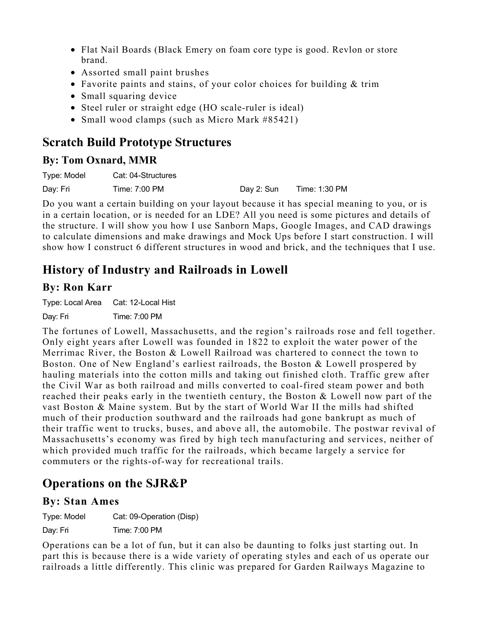- Flat Nail Boards (Black Emery on foam core type is good. Revlon or store brand.
- Assorted small paint brushes
- Favorite paints and stains, of your color choices for building & trim
- Small squaring device
- Steel ruler or straight edge (HO scale-ruler is ideal)
- Small wood clamps (such as Micro Mark #85421)

# **Scratch Build Prototype Structures**

#### **By: Tom Oxnard, MMR**

| Type: Model | Cat: 04-Structures |            |               |
|-------------|--------------------|------------|---------------|
| Day: Fri    | Time: 7:00 PM      | Dav 2: Sun | Time: 1:30 PM |

Do you want a certain building on your layout because it has special meaning to you, or is in a certain location, or is needed for an LDE? All you need is some pictures and details of the structure. I will show you how I use Sanborn Maps, Google Images, and CAD drawings to calculate dimensions and make drawings and Mock Ups before I start construction. I will show how I construct 6 different structures in wood and brick, and the techniques that I use.

# **History of Industry and Railroads in Lowell**

#### **By: Ron Karr**

Type: Local Area Cat: 12-Local Hist

Day: Fri Time: 7:00 PM

The fortunes of Lowell, Massachusetts, and the region's railroads rose and fell together. Only eight years after Lowell was founded in 1822 to exploit the water power of the Merrimac River, the Boston & Lowell Railroad was chartered to connect the town to Boston. One of New England's earliest railroads, the Boston & Lowell prospered by hauling materials into the cotton mills and taking out finished cloth. Traffic grew after the Civil War as both railroad and mills converted to coal-fired steam power and both reached their peaks early in the twentieth century, the Boston & Lowell now part of the vast Boston & Maine system. But by the start of World War II the mills had shifted much of their production southward and the railroads had gone bankrupt as much of their traffic went to trucks, buses, and above all, the automobile. The postwar revival of Massachusetts's economy was fired by high tech manufacturing and services, neither of which provided much traffic for the railroads, which became largely a service for commuters or the rights-of-way for recreational trails.

# **Operations on the SJR&P**

#### **By: Stan Ames**

Type: Model Cat: 09-Operation (Disp)

Day: Fri Time: 7:00 PM

Operations can be a lot of fun, but it can also be daunting to folks just starting out. In part this is because there is a wide variety of operating styles and each of us operate our railroads a little differently. This clinic was prepared for Garden Railways Magazine to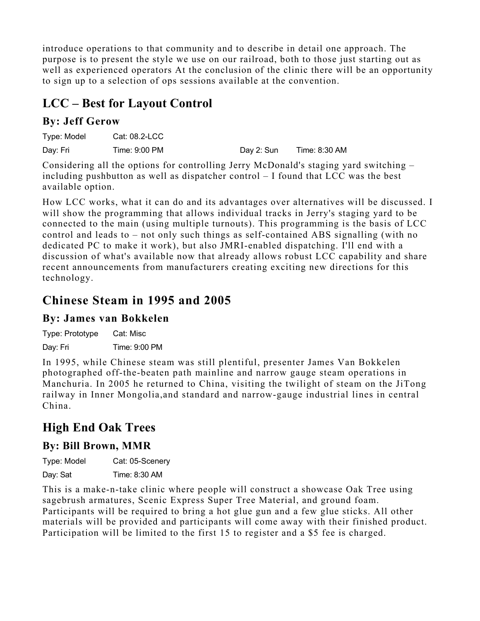introduce operations to that community and to describe in detail one approach. The purpose is to present the style we use on our railroad, both to those just starting out as well as experienced operators At the conclusion of the clinic there will be an opportunity to sign up to a selection of ops sessions available at the convention.

# **LCC – Best for Layout Control**

#### **By: Jeff Gerow**

| Type: Model | Cat: 08.2-LCC |            |               |
|-------------|---------------|------------|---------------|
| Day: Fri    | Time: 9:00 PM | Day 2: Sun | Time: 8:30 AM |

Considering all the options for controlling Jerry McDonald's staging yard switching – including pushbutton as well as dispatcher control – I found that LCC was the best available option.

How LCC works, what it can do and its advantages over alternatives will be discussed. I will show the programming that allows individual tracks in Jerry's staging yard to be connected to the main (using multiple turnouts). This programming is the basis of LCC control and leads to – not only such things as self-contained ABS signalling (with no dedicated PC to make it work), but also JMRI-enabled dispatching. I'll end with a discussion of what's available now that already allows robust LCC capability and share recent announcements from manufacturers creating exciting new directions for this technology.

# **Chinese Steam in 1995 and 2005**

#### **By: James van Bokkelen**

Type: Prototype Cat: Misc Day: Fri Time: 9:00 PM

In 1995, while Chinese steam was still plentiful, presenter James Van Bokkelen photographed off-the-beaten path mainline and narrow gauge steam operations in Manchuria. In 2005 he returned to China, visiting the twilight of steam on the JiTong railway in Inner Mongolia,and standard and narrow-gauge industrial lines in central China.

# **High End Oak Trees**

#### **By: Bill Brown, MMR**

Type: Model Cat: 05-Scenery

Day: Sat Time: 8:30 AM

This is a make-n-take clinic where people will construct a showcase Oak Tree using sagebrush armatures, Scenic Express Super Tree Material, and ground foam. Participants will be required to bring a hot glue gun and a few glue sticks. All other materials will be provided and participants will come away with their finished product. Participation will be limited to the first 15 to register and a \$5 fee is charged.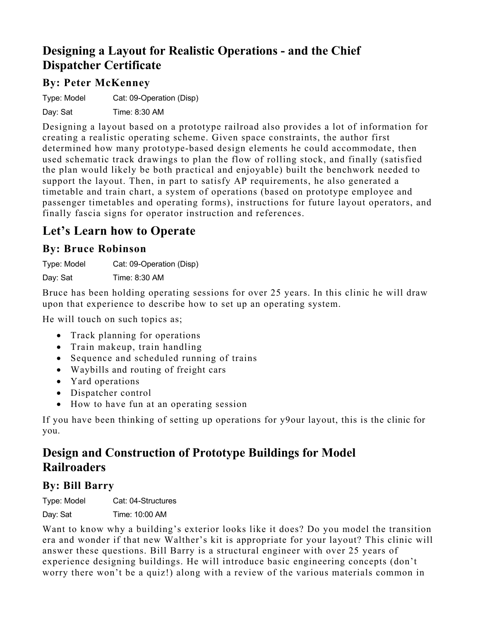### **Designing a Layout for Realistic Operations - and the Chief Dispatcher Certificate**

#### **By: Peter McKenney**

Type: Model Cat: 09-Operation (Disp)

Day: Sat Time: 8:30 AM

Designing a layout based on a prototype railroad also provides a lot of information for creating a realistic operating scheme. Given space constraints, the author first determined how many prototype-based design elements he could accommodate, then used schematic track drawings to plan the flow of rolling stock, and finally (satisfied the plan would likely be both practical and enjoyable) built the benchwork needed to support the layout. Then, in part to satisfy AP requirements, he also generated a timetable and train chart, a system of operations (based on prototype employee and passenger timetables and operating forms), instructions for future layout operators, and finally fascia signs for operator instruction and references.

# **Let's Learn how to Operate**

#### **By: Bruce Robinson**

Type: Model Cat: 09-Operation (Disp) Day: Sat Time: 8:30 AM

Bruce has been holding operating sessions for over 25 years. In this clinic he will draw upon that experience to describe how to set up an operating system.

He will touch on such topics as;

- Track planning for operations
- Train makeup, train handling
- Sequence and scheduled running of trains
- Waybills and routing of freight cars
- Yard operations
- Dispatcher control
- How to have fun at an operating session

If you have been thinking of setting up operations for y9our layout, this is the clinic for you.

# **Design and Construction of Prototype Buildings for Model Railroaders**

#### **By: Bill Barry**

Type: Model Cat: 04-Structures

Day: Sat Time: 10:00 AM

Want to know why a building's exterior looks like it does? Do you model the transition era and wonder if that new Walther's kit is appropriate for your layout? This clinic will answer these questions. Bill Barry is a structural engineer with over 25 years of experience designing buildings. He will introduce basic engineering concepts (don't worry there won't be a quiz!) along with a review of the various materials common in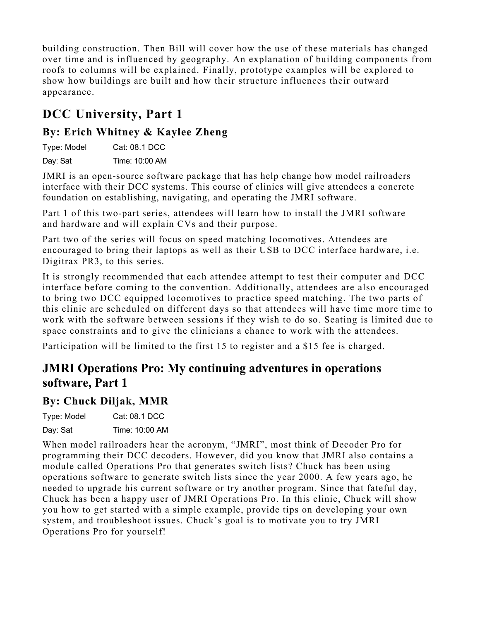building construction. Then Bill will cover how the use of these materials has changed over time and is influenced by geography. An explanation of building components from roofs to columns will be explained. Finally, prototype examples will be explored to show how buildings are built and how their structure influences their outward appearance.

# **DCC University, Part 1**

#### **By: Erich Whitney & Kaylee Zheng**

Type: Model Cat: 08.1 DCC

Day: Sat Time: 10:00 AM

JMRI is an open-source software package that has help change how model railroaders interface with their DCC systems. This course of clinics will give attendees a concrete foundation on establishing, navigating, and operating the JMRI software.

Part 1 of this two-part series, attendees will learn how to install the JMRI software and hardware and will explain CVs and their purpose.

Part two of the series will focus on speed matching locomotives. Attendees are encouraged to bring their laptops as well as their USB to DCC interface hardware, i.e. Digitrax PR3, to this series.

It is strongly recommended that each attendee attempt to test their computer and DCC interface before coming to the convention. Additionally, attendees are also encouraged to bring two DCC equipped locomotives to practice speed matching. The two parts of this clinic are scheduled on different days so that attendees will have time more time to work with the software between sessions if they wish to do so. Seating is limited due to space constraints and to give the clinicians a chance to work with the attendees.

Participation will be limited to the first 15 to register and a \$15 fee is charged.

# **JMRI Operations Pro: My continuing adventures in operations software, Part 1**

#### **By: Chuck Diljak, MMR**

Type: Model Cat: 08.1 DCC

Day: Sat Time: 10:00 AM

When model railroaders hear the acronym, "JMRI", most think of Decoder Pro for programming their DCC decoders. However, did you know that JMRI also contains a module called Operations Pro that generates switch lists? Chuck has been using operations software to generate switch lists since the year 2000. A few years ago, he needed to upgrade his current software or try another program. Since that fateful day, Chuck has been a happy user of JMRI Operations Pro. In this clinic, Chuck will show you how to get started with a simple example, provide tips on developing your own system, and troubleshoot issues. Chuck's goal is to motivate you to try JMRI Operations Pro for yourself!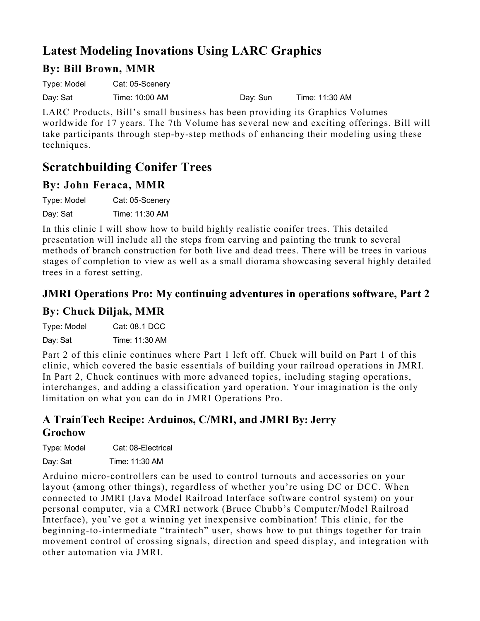# **Latest Modeling Inovations Using LARC Graphics**

#### **By: Bill Brown, MMR**

Type: Model Cat: 05-Scenery

Day: Sat Time: 10:00 AM Day: Sun Time: 11:30 AM

LARC Products, Bill's small business has been providing its Graphics Volumes worldwide for 17 years. The 7th Volume has several new and exciting offerings. Bill will take participants through step-by-step methods of enhancing their modeling using these techniques.

# **Scratchbuilding Conifer Trees**

#### **By: John Feraca, MMR**

Type: Model Cat: 05-Scenery

Day: Sat Time: 11:30 AM

In this clinic I will show how to build highly realistic conifer trees. This detailed presentation will include all the steps from carving and painting the trunk to several methods of branch construction for both live and dead trees. There will be trees in various stages of completion to view as well as a small diorama showcasing several highly detailed trees in a forest setting.

# **JMRI Operations Pro: My continuing adventures in operations software, Part 2**

#### **By: Chuck Diljak, MMR**

Type: Model Cat: 08.1 DCC Day: Sat Time: 11:30 AM

Part 2 of this clinic continues where Part 1 left off. Chuck will build on Part 1 of this clinic, which covered the basic essentials of building your railroad operations in JMRI. In Part 2, Chuck continues with more advanced topics, including staging operations, interchanges, and adding a classification yard operation. Your imagination is the only limitation on what you can do in JMRI Operations Pro.

#### **A TrainTech Recipe: Arduinos, C/MRI, and JMRI By: Jerry Grochow**

Type: Model Cat: 08-Electrical

Day: Sat Time: 11:30 AM

Arduino micro-controllers can be used to control turnouts and accessories on your layout (among other things), regardless of whether you're using DC or DCC. When connected to JMRI (Java Model Railroad Interface software control system) on your personal computer, via a CMRI network (Bruce Chubb's Computer/Model Railroad Interface), you've got a winning yet inexpensive combination! This clinic, for the beginning-to-intermediate "traintech" user, shows how to put things together for train movement control of crossing signals, direction and speed display, and integration with other automation via JMRI.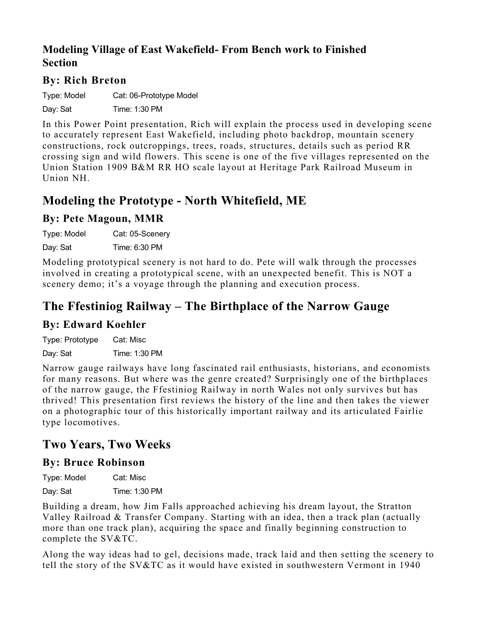#### **Modeling Village of East Wakefield- From Bench work to Finished Section**

#### **By: Rich Breton**

Type: Model Cat: 06-Prototype Model

Day: Sat Time: 1:30 PM

In this Power Point presentation, Rich will explain the process used in developing scene to accurately represent East Wakefield, including photo backdrop, mountain scenery constructions, rock outcroppings, trees, roads, structures, details such as period RR crossing sign and wild flowers. This scene is one of the five villages represented on the Union Station 1909 B&M RR HO scale layout at Heritage Park Railroad Museum in Union NH.

### **Modeling the Prototype - North Whitefield, ME**

#### **By: Pete Magoun, MMR**

Type: Model Cat: 05-Scenery Day: Sat Time: 6:30 PM

Modeling prototypical scenery is not hard to do. Pete will walk through the processes involved in creating a prototypical scene, with an unexpected benefit. This is NOT a scenery demo; it's a voyage through the planning and execution process.

# **The Ffestiniog Railway – The Birthplace of the Narrow Gauge**

#### **By: Edward Koehler**

Type: Prototype Cat: Misc Day: Sat Time: 1:30 PM

Narrow gauge railways have long fascinated rail enthusiasts, historians, and economists for many reasons. But where was the genre created? Surprisingly one of the birthplaces of the narrow gauge, the Ffestiniog Railway in north Wales not only survives but has thrived! This presentation first reviews the history of the line and then takes the viewer on a photographic tour of this historically important railway and its articulated Fairlie type locomotives.

### **Two Years, Two Weeks**

#### **By: Bruce Robinson**

| Type: Model | Cat: Misc     |
|-------------|---------------|
| Day: Sat    | Time: 1:30 PM |

Building a dream, how Jim Falls approached achieving his dream layout, the Stratton Valley Railroad & Transfer Company. Starting with an idea, then a track plan (actually more than one track plan), acquiring the space and finally beginning construction to complete the SV&TC.

Along the way ideas had to gel, decisions made, track laid and then setting the scenery to tell the story of the SV&TC as it would have existed in southwestern Vermont in 1940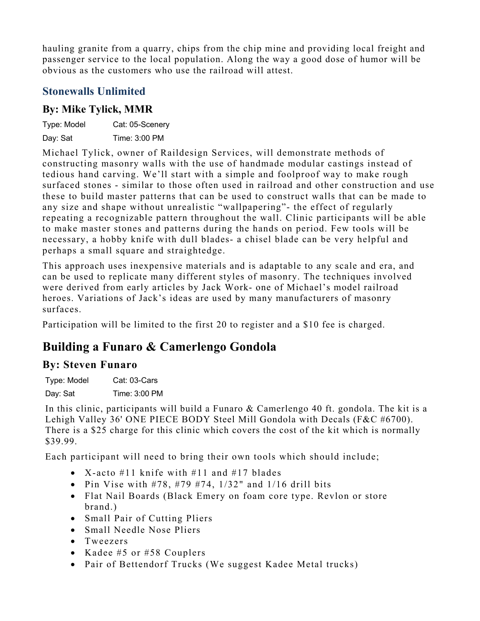hauling granite from a quarry, chips from the chip mine and providing local freight and passenger service to the local population. Along the way a good dose of humor will be obvious as the customers who use the railroad will attest.

#### **Stonewalls Unlimited**

#### **By: Mike Tylick, MMR**

| Type: Model | Cat: 05-Scenery |
|-------------|-----------------|
| Day: Sat    | Time: 3:00 PM   |

Michael Tylick, owner of Raildesign Services, will demonstrate methods of constructing masonry walls with the use of handmade modular castings instead of tedious hand carving. We'll start with a simple and foolproof way to make rough surfaced stones - similar to those often used in railroad and other construction and use these to build master patterns that can be used to construct walls that can be made to any size and shape without unrealistic "wallpapering"- the effect of regularly repeating a recognizable pattern throughout the wall. Clinic participants will be able to make master stones and patterns during the hands on period. Few tools will be necessary, a hobby knife with dull blades- a chisel blade can be very helpful and perhaps a small square and straightedge.

This approach uses inexpensive materials and is adaptable to any scale and era, and can be used to replicate many different styles of masonry. The techniques involved were derived from early articles by Jack Work- one of Michael's model railroad heroes. Variations of Jack's ideas are used by many manufacturers of masonry surfaces.

Participation will be limited to the first 20 to register and a \$10 fee is charged.

# **Building a Funaro & Camerlengo Gondola**

#### **By: Steven Funaro**

Type: Model Cat: 03-Cars Day: Sat Time: 3:00 PM

In this clinic, participants will build a Funaro & Camerlengo 40 ft. gondola. The kit is a Lehigh Valley 36' ONE PIECE BODY Steel Mill Gondola with Decals (F&C #6700). There is a \$25 charge for this clinic which covers the cost of the kit which is normally \$39.99.

Each participant will need to bring their own tools which should include;

- X-acto #11 knife with #11 and #17 blades
- Pin Vise with  $\#78$ ,  $\#79$   $\#74$ ,  $1/32$ " and  $1/16$  drill bits
- Flat Nail Boards (Black Emery on foam core type. Revlon or store brand.)
- Small Pair of Cutting Pliers
- Small Needle Nose Pliers
- Tweezers
- Kadee #5 or #58 Couplers
- Pair of Bettendorf Trucks (We suggest Kadee Metal trucks)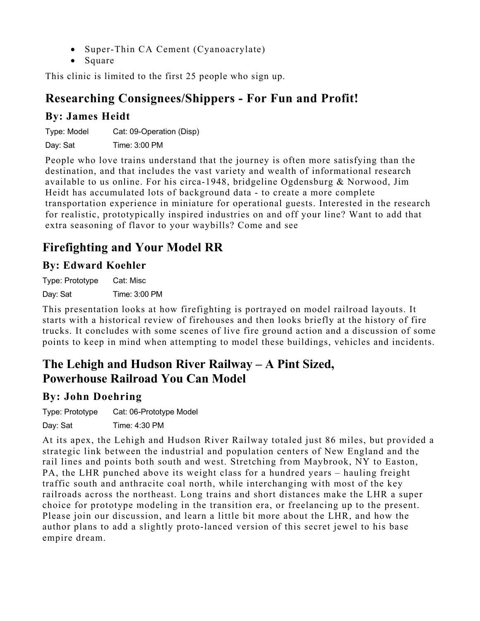- Super-Thin CA Cement (Cyanoacrylate)
- Square

This clinic is limited to the first 25 people who sign up.

### **Researching Consignees/Shippers - For Fun and Profit!**

#### **By: James Heidt**

Type: Model Cat: 09-Operation (Disp)

Day: Sat Time: 3:00 PM

People who love trains understand that the journey is often more satisfying than the destination, and that includes the vast variety and wealth of informational research available to us online. For his circa-1948, bridgeline Ogdensburg & Norwood, Jim Heidt has accumulated lots of background data - to create a more complete transportation experience in miniature for operational guests. Interested in the research for realistic, prototypically inspired industries on and off your line? Want to add that extra seasoning of flavor to your waybills? Come and see

# **Firefighting and Your Model RR**

#### **By: Edward Koehler**

Type: Prototype Cat: Misc Day: Sat Time: 3:00 PM

This presentation looks at how firefighting is portrayed on model railroad layouts. It starts with a historical review of firehouses and then looks briefly at the history of fire trucks. It concludes with some scenes of live fire ground action and a discussion of some points to keep in mind when attempting to model these buildings, vehicles and incidents.

# **The Lehigh and Hudson River Railway – A Pint Sized, Powerhouse Railroad You Can Model**

#### **By: John Doehring**

Type: Prototype Cat: 06-Prototype Model

Day: Sat Time: 4:30 PM

At its apex, the Lehigh and Hudson River Railway totaled just 86 miles, but provided a strategic link between the industrial and population centers of New England and the rail lines and points both south and west. Stretching from Maybrook, NY to Easton, PA, the LHR punched above its weight class for a hundred years – hauling freight traffic south and anthracite coal north, while interchanging with most of the key railroads across the northeast. Long trains and short distances make the LHR a super choice for prototype modeling in the transition era, or freelancing up to the present. Please join our discussion, and learn a little bit more about the LHR, and how the author plans to add a slightly proto-lanced version of this secret jewel to his base empire dream.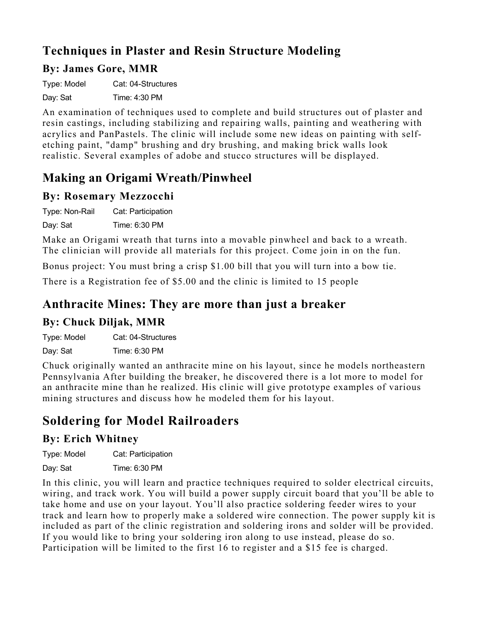# **Techniques in Plaster and Resin Structure Modeling**

#### **By: James Gore, MMR**

Type: Model Cat: 04-Structures

Day: Sat Time: 4:30 PM

An examination of techniques used to complete and build structures out of plaster and resin castings, including stabilizing and repairing walls, painting and weathering with acrylics and PanPastels. The clinic will include some new ideas on painting with selfetching paint, "damp" brushing and dry brushing, and making brick walls look realistic. Several examples of adobe and stucco structures will be displayed.

### **Making an Origami Wreath/Pinwheel**

#### **By: Rosemary Mezzocchi**

Type: Non-Rail Cat: Participation Day: Sat Time: 6:30 PM

Make an Origami wreath that turns into a movable pinwheel and back to a wreath. The clinician will provide all materials for this project. Come join in on the fun.

Bonus project: You must bring a crisp \$1.00 bill that you will turn into a bow tie.

There is a Registration fee of \$5.00 and the clinic is limited to 15 people

### **Anthracite Mines: They are more than just a breaker**

#### **By: Chuck Diljak, MMR**

Type: Model Cat: 04-Structures Day: Sat Time: 6:30 PM

Chuck originally wanted an anthracite mine on his layout, since he models northeastern Pennsylvania After building the breaker, he discovered there is a lot more to model for an anthracite mine than he realized. His clinic will give prototype examples of various mining structures and discuss how he modeled them for his layout.

# **Soldering for Model Railroaders**

#### **By: Erich Whitney**

Type: Model Cat: Participation

Day: Sat Time: 6:30 PM

In this clinic, you will learn and practice techniques required to solder electrical circuits, wiring, and track work. You will build a power supply circuit board that you'll be able to take home and use on your layout. You'll also practice soldering feeder wires to your track and learn how to properly make a soldered wire connection. The power supply kit is included as part of the clinic registration and soldering irons and solder will be provided. If you would like to bring your soldering iron along to use instead, please do so. Participation will be limited to the first 16 to register and a \$15 fee is charged.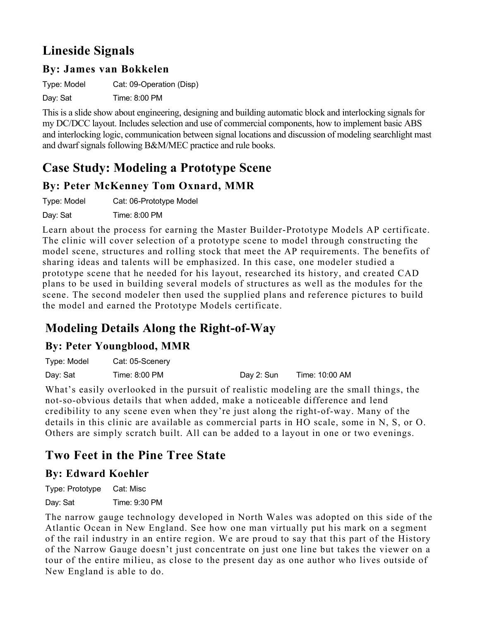# **Lineside Signals**

#### **By: James van Bokkelen**

Type: Model Cat: 09-Operation (Disp)

Day: Sat Time: 8:00 PM

This is a slide show about engineering, designing and building automatic block and interlocking signals for my DC/DCC layout. Includes selection and use of commercial components, how to implement basic ABS and interlocking logic, communication between signal locations and discussion of modeling searchlight mast and dwarf signals following B&M/MEC practice and rule books.

# **Case Study: Modeling a Prototype Scene**

#### **By: Peter McKenney Tom Oxnard, MMR**

Type: Model Cat: 06-Prototype Model Day: Sat Time: 8:00 PM

Learn about the process for earning the Master Builder-Prototype Models AP certificate. The clinic will cover selection of a prototype scene to model through constructing the model scene, structures and rolling stock that meet the AP requirements. The benefits of sharing ideas and talents will be emphasized. In this case, one modeler studied a prototype scene that he needed for his layout, researched its history, and created CAD plans to be used in building several models of structures as well as the modules for the scene. The second modeler then used the supplied plans and reference pictures to build the model and earned the Prototype Models certificate.

# **Modeling Details Along the Right-of-Way**

#### **By: Peter Youngblood, MMR**

| Type: Model | Cat: 05-Scenery |            |                |
|-------------|-----------------|------------|----------------|
| Day: Sat    | Time: 8:00 PM   | Day 2: Sun | Time: 10:00 AM |

What's easily overlooked in the pursuit of realistic modeling are the small things, the not-so-obvious details that when added, make a noticeable difference and lend credibility to any scene even when they're just along the right-of-way. Many of the details in this clinic are available as commercial parts in HO scale, some in N, S, or O. Others are simply scratch built. All can be added to a layout in one or two evenings.

# **Two Feet in the Pine Tree State**

#### **By: Edward Koehler**

Type: Prototype Cat: Misc Day: Sat Time: 9:30 PM

The narrow gauge technology developed in North Wales was adopted on this side of the Atlantic Ocean in New England. See how one man virtually put his mark on a segment of the rail industry in an entire region. We are proud to say that this part of the History of the Narrow Gauge doesn't just concentrate on just one line but takes the viewer on a tour of the entire milieu, as close to the present day as one author who lives outside of New England is able to do.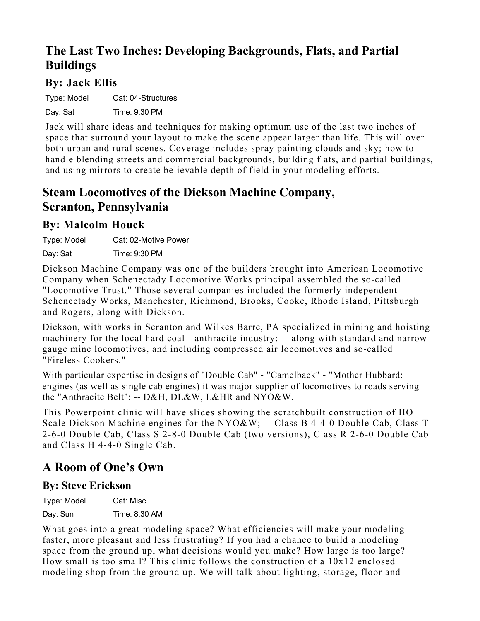# **The Last Two Inches: Developing Backgrounds, Flats, and Partial Buildings**

#### **By: Jack Ellis**

Type: Model Cat: 04-Structures Day: Sat Time: 9:30 PM

Jack will share ideas and techniques for making optimum use of the last two inches of space that surround your layout to make the scene appear larger than life. This will over both urban and rural scenes. Coverage includes spray painting clouds and sky; how to handle blending streets and commercial backgrounds, building flats, and partial buildings, and using mirrors to create believable depth of field in your modeling efforts.

### **Steam Locomotives of the Dickson Machine Company, Scranton, Pennsylvania**

#### **By: Malcolm Houck**

Type: Model Cat: 02-Motive Power Day: Sat Time: 9:30 PM

Dickson Machine Company was one of the builders brought into American Locomotive Company when Schenectady Locomotive Works principal assembled the so-called "Locomotive Trust." Those several companies included the formerly independent Schenectady Works, Manchester, Richmond, Brooks, Cooke, Rhode Island, Pittsburgh and Rogers, along with Dickson.

Dickson, with works in Scranton and Wilkes Barre, PA specialized in mining and hoisting machinery for the local hard coal - anthracite industry; -- along with standard and narrow gauge mine locomotives, and including compressed air locomotives and so-called "Fireless Cookers."

With particular expertise in designs of "Double Cab" - "Camelback" - "Mother Hubbard: engines (as well as single cab engines) it was major supplier of locomotives to roads serving the "Anthracite Belt": -- D&H, DL&W, L&HR and NYO&W.

This Powerpoint clinic will have slides showing the scratchbuilt construction of HO Scale Dickson Machine engines for the NYO&W; -- Class B 4-4-0 Double Cab, Class T 2-6-0 Double Cab, Class S 2-8-0 Double Cab (two versions), Class R 2-6-0 Double Cab and Class H 4-4-0 Single Cab.

### **A Room of One's Own**

#### **By: Steve Erickson**

Type: Model Cat: Misc

Day: Sun Time: 8:30 AM

What goes into a great modeling space? What efficiencies will make your modeling faster, more pleasant and less frustrating? If you had a chance to build a modeling space from the ground up, what decisions would you make? How large is too large? How small is too small? This clinic follows the construction of a 10x12 enclosed modeling shop from the ground up. We will talk about lighting, storage, floor and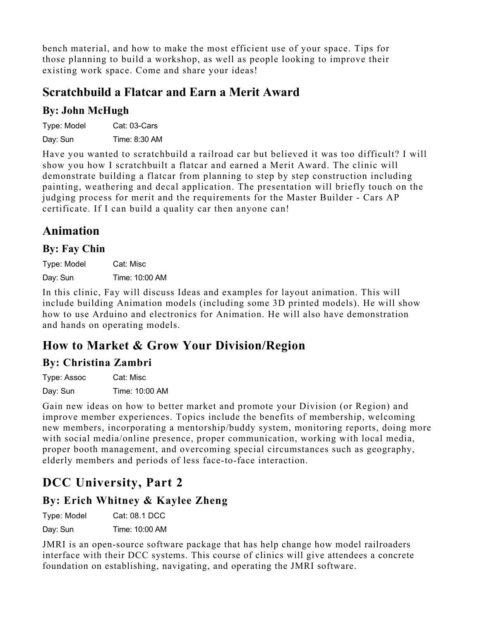bench material, and how to make the most efficient use of your space. Tips for those planning to build a workshop, as well as people looking to improve their existing work space. Come and share your ideas!

### **Scratchbuild a Flatcar and Earn a Merit Award**

#### **By: John McHugh**

Type: Model Cat: 03-Cars

Day: Sun Time: 8:30 AM

Have you wanted to scratchbuild a railroad car but believed it was too difficult? I will show you how I scratchbuilt a flatcar and earned a Merit Award. The clinic will demonstrate building a flatcar from planning to step by step construction including painting, weathering and decal application. The presentation will briefly touch on the judging process for merit and the requirements for the Master Builder - Cars AP certificate. If I can build a quality car then anyone can!

### **Animation**

#### **By: Fay Chin**

Type: Model Cat: Misc Day: Sun Time: 10:00 AM

In this clinic, Fay will discuss Ideas and examples for layout animation. This will include building Animation models (including some 3D printed models). He will show how to use Arduino and electronics for Animation. He will also have demonstration and hands on operating models.

# **How to Market & Grow Your Division/Region**

#### **By: Christina Zambri**

Type: Assoc Cat: Misc Day: Sun Time: 10:00 AM

Gain new ideas on how to better market and promote your Division (or Region) and improve member experiences. Topics include the benefits of membership, welcoming new members, incorporating a mentorship/buddy system, monitoring reports, doing more with social media/online presence, proper communication, working with local media, proper booth management, and overcoming special circumstances such as geography, elderly members and periods of less face-to-face interaction.

# **DCC University, Part 2**

#### **By: Erich Whitney & Kaylee Zheng**

| Type: Model | Cat: 08.1 DCC |
|-------------|---------------|
|             |               |

Day: Sun Time: 10:00 AM

JMRI is an open-source software package that has help change how model railroaders interface with their DCC systems. This course of clinics will give attendees a concrete foundation on establishing, navigating, and operating the JMRI software.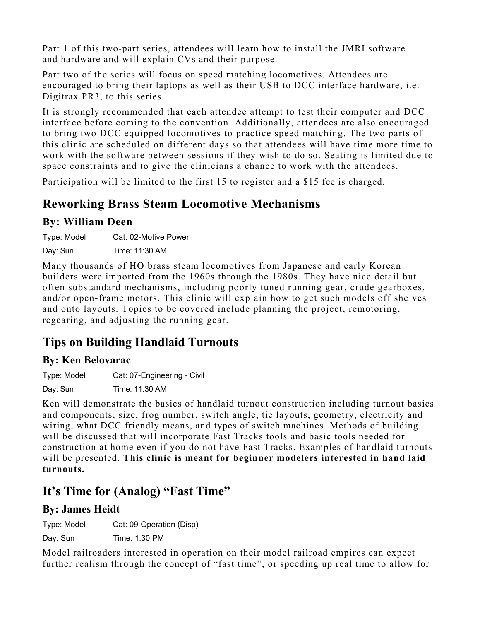Part 1 of this two-part series, attendees will learn how to install the JMRI software and hardware and will explain CVs and their purpose.

Part two of the series will focus on speed matching locomotives. Attendees are encouraged to bring their laptops as well as their USB to DCC interface hardware, i.e. Digitrax PR3, to this series.

It is strongly recommended that each attendee attempt to test their computer and DCC interface before coming to the convention. Additionally, attendees are also encouraged to bring two DCC equipped locomotives to practice speed matching. The two parts of this clinic are scheduled on different days so that attendees will have time more time to work with the software between sessions if they wish to do so. Seating is limited due to space constraints and to give the clinicians a chance to work with the attendees.

Participation will be limited to the first 15 to register and a \$15 fee is charged.

# **Reworking Brass Steam Locomotive Mechanisms**

#### **By: William Deen**

Type: Model Cat: 02-Motive Power

Day: Sun Time: 11:30 AM

Many thousands of HO brass steam locomotives from Japanese and early Korean builders were imported from the 1960s through the 1980s. They have nice detail but often substandard mechanisms, including poorly tuned running gear, crude gearboxes, and/or open-frame motors. This clinic will explain how to get such models off shelves and onto layouts. Topics to be covered include planning the project, remotoring, regearing, and adjusting the running gear.

### **Tips on Building Handlaid Turnouts**

#### **By: Ken Belovarac**

Type: Model Cat: 07-Engineering - Civil Day: Sun Time: 11:30 AM

Ken will demonstrate the basics of handlaid turnout construction including turnout basics and components, size, frog number, switch angle, tie layouts, geometry, electricity and wiring, what DCC friendly means, and types of switch machines. Methods of building will be discussed that will incorporate Fast Tracks tools and basic tools needed for construction at home even if you do not have Fast Tracks. Examples of handlaid turnouts will be presented. **This clinic is meant for beginner modelers interested in hand laid turnouts.**

### **It's Time for (Analog) "Fast Time"**

#### **By: James Heidt**

Type: Model Cat: 09-Operation (Disp)

Day: Sun Time: 1:30 PM

Model railroaders interested in operation on their model railroad empires can expect further realism through the concept of "fast time", or speeding up real time to allow for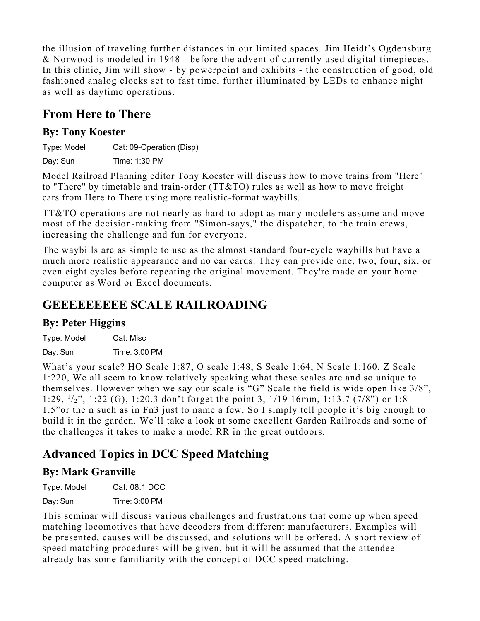the illusion of traveling further distances in our limited spaces. Jim Heidt's Ogdensburg & Norwood is modeled in 1948 - before the advent of currently used digital timepieces. In this clinic, Jim will show - by powerpoint and exhibits - the construction of good, old fashioned analog clocks set to fast time, further illuminated by LEDs to enhance night as well as daytime operations.

# **From Here to There**

#### **By: Tony Koester**

Type: Model Cat: 09-Operation (Disp)

Day: Sun Time: 1:30 PM

Model Railroad Planning editor Tony Koester will discuss how to move trains from "Here" to "There" by timetable and train-order (TT&TO) rules as well as how to move freight cars from Here to There using more realistic-format waybills.

TT&TO operations are not nearly as hard to adopt as many modelers assume and move most of the decision-making from "Simon-says," the dispatcher, to the train crews, increasing the challenge and fun for everyone.

The waybills are as simple to use as the almost standard four-cycle waybills but have a much more realistic appearance and no car cards. They can provide one, two, four, six, or even eight cycles before repeating the original movement. They're made on your home computer as Word or Excel documents.

# **GEEEEEEEEE SCALE RAILROADING**

### **By: Peter Higgins**

Type: Model Cat: Misc Day: Sun Time: 3:00 PM

What's your scale? HO Scale 1:87, O scale 1:48, S Scale 1:64, N Scale 1:160, Z Scale 1:220, We all seem to know relatively speaking what these scales are and so unique to themselves. However when we say our scale is "G" Scale the field is wide open like 3/8", 1:29, 1/2", 1:22 (G), 1:20.3 don't forget the point 3, 1/19 16mm, 1:13.7 (7/8") or 1:8 1.5"or the n such as in Fn3 just to name a few. So I simply tell people it's big enough to build it in the garden. We'll take a look at some excellent Garden Railroads and some of the challenges it takes to make a model RR in the great outdoors.

# **Advanced Topics in DCC Speed Matching**

### **By: Mark Granville**

Type: Model Cat: 08.1 DCC

Day: Sun Time: 3:00 PM

This seminar will discuss various challenges and frustrations that come up when speed matching locomotives that have decoders from different manufacturers. Examples will be presented, causes will be discussed, and solutions will be offered. A short review of speed matching procedures will be given, but it will be assumed that the attendee already has some familiarity with the concept of DCC speed matching.